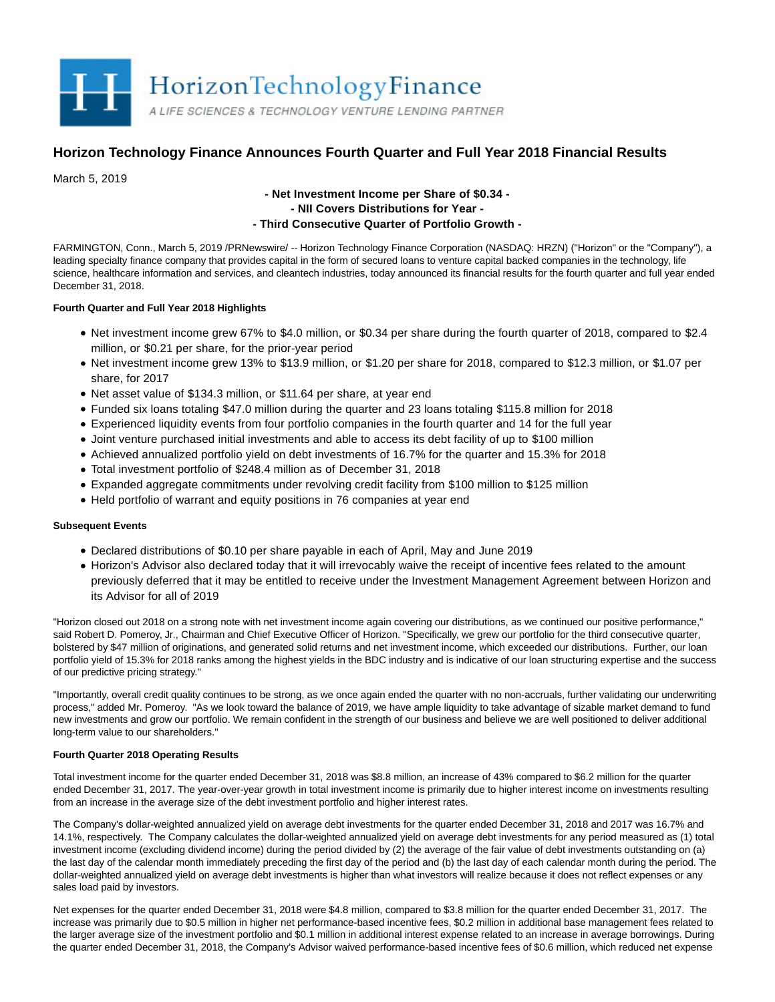

# **Horizon Technology Finance Announces Fourth Quarter and Full Year 2018 Financial Results**

March 5, 2019

## **- Net Investment Income per Share of \$0.34 - - NII Covers Distributions for Year - - Third Consecutive Quarter of Portfolio Growth -**

FARMINGTON, Conn., March 5, 2019 /PRNewswire/ -- Horizon Technology Finance Corporation (NASDAQ: HRZN) ("Horizon" or the "Company"), a leading specialty finance company that provides capital in the form of secured loans to venture capital backed companies in the technology, life science, healthcare information and services, and cleantech industries, today announced its financial results for the fourth quarter and full year ended December 31, 2018.

## **Fourth Quarter and Full Year 2018 Highlights**

- Net investment income grew 67% to \$4.0 million, or \$0.34 per share during the fourth quarter of 2018, compared to \$2.4 million, or \$0.21 per share, for the prior-year period
- Net investment income grew 13% to \$13.9 million, or \$1.20 per share for 2018, compared to \$12.3 million, or \$1.07 per share, for 2017
- Net asset value of \$134.3 million, or \$11.64 per share, at year end
- Funded six loans totaling \$47.0 million during the quarter and 23 loans totaling \$115.8 million for 2018
- Experienced liquidity events from four portfolio companies in the fourth quarter and 14 for the full year
- Joint venture purchased initial investments and able to access its debt facility of up to \$100 million
- Achieved annualized portfolio yield on debt investments of 16.7% for the quarter and 15.3% for 2018
- Total investment portfolio of \$248.4 million as of December 31, 2018
- Expanded aggregate commitments under revolving credit facility from \$100 million to \$125 million
- Held portfolio of warrant and equity positions in 76 companies at year end

## **Subsequent Events**

- Declared distributions of \$0.10 per share payable in each of April, May and June 2019
- Horizon's Advisor also declared today that it will irrevocably waive the receipt of incentive fees related to the amount previously deferred that it may be entitled to receive under the Investment Management Agreement between Horizon and its Advisor for all of 2019

"Horizon closed out 2018 on a strong note with net investment income again covering our distributions, as we continued our positive performance," said Robert D. Pomeroy, Jr., Chairman and Chief Executive Officer of Horizon. "Specifically, we grew our portfolio for the third consecutive quarter, bolstered by \$47 million of originations, and generated solid returns and net investment income, which exceeded our distributions. Further, our loan portfolio yield of 15.3% for 2018 ranks among the highest yields in the BDC industry and is indicative of our loan structuring expertise and the success of our predictive pricing strategy."

"Importantly, overall credit quality continues to be strong, as we once again ended the quarter with no non-accruals, further validating our underwriting process," added Mr. Pomeroy. "As we look toward the balance of 2019, we have ample liquidity to take advantage of sizable market demand to fund new investments and grow our portfolio. We remain confident in the strength of our business and believe we are well positioned to deliver additional long-term value to our shareholders."

## **Fourth Quarter 2018 Operating Results**

Total investment income for the quarter ended December 31, 2018 was \$8.8 million, an increase of 43% compared to \$6.2 million for the quarter ended December 31, 2017. The year-over-year growth in total investment income is primarily due to higher interest income on investments resulting from an increase in the average size of the debt investment portfolio and higher interest rates.

The Company's dollar-weighted annualized yield on average debt investments for the quarter ended December 31, 2018 and 2017 was 16.7% and 14.1%, respectively. The Company calculates the dollar-weighted annualized yield on average debt investments for any period measured as (1) total investment income (excluding dividend income) during the period divided by (2) the average of the fair value of debt investments outstanding on (a) the last day of the calendar month immediately preceding the first day of the period and (b) the last day of each calendar month during the period. The dollar-weighted annualized yield on average debt investments is higher than what investors will realize because it does not reflect expenses or any sales load paid by investors.

Net expenses for the quarter ended December 31, 2018 were \$4.8 million, compared to \$3.8 million for the quarter ended December 31, 2017. The increase was primarily due to \$0.5 million in higher net performance-based incentive fees, \$0.2 million in additional base management fees related to the larger average size of the investment portfolio and \$0.1 million in additional interest expense related to an increase in average borrowings. During the quarter ended December 31, 2018, the Company's Advisor waived performance-based incentive fees of \$0.6 million, which reduced net expense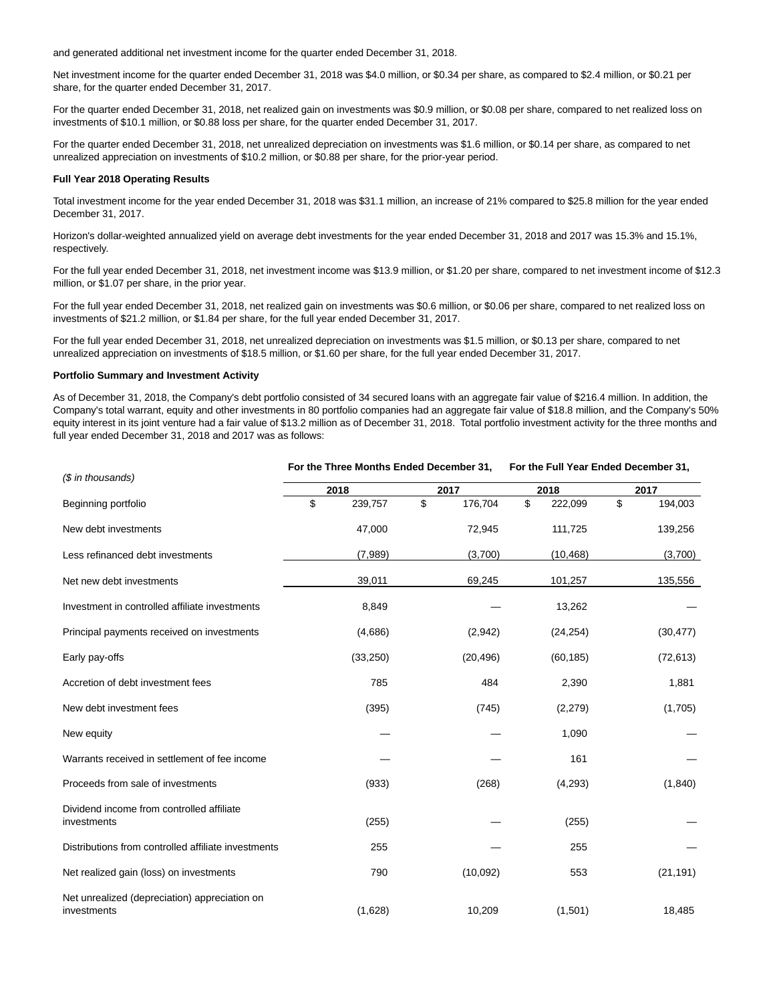and generated additional net investment income for the quarter ended December 31, 2018.

Net investment income for the quarter ended December 31, 2018 was \$4.0 million, or \$0.34 per share, as compared to \$2.4 million, or \$0.21 per share, for the quarter ended December 31, 2017.

For the quarter ended December 31, 2018, net realized gain on investments was \$0.9 million, or \$0.08 per share, compared to net realized loss on investments of \$10.1 million, or \$0.88 loss per share, for the quarter ended December 31, 2017.

For the quarter ended December 31, 2018, net unrealized depreciation on investments was \$1.6 million, or \$0.14 per share, as compared to net unrealized appreciation on investments of \$10.2 million, or \$0.88 per share, for the prior-year period.

#### **Full Year 2018 Operating Results**

Total investment income for the year ended December 31, 2018 was \$31.1 million, an increase of 21% compared to \$25.8 million for the year ended December 31, 2017.

Horizon's dollar-weighted annualized yield on average debt investments for the year ended December 31, 2018 and 2017 was 15.3% and 15.1%, respectively.

For the full year ended December 31, 2018, net investment income was \$13.9 million, or \$1.20 per share, compared to net investment income of \$12.3 million, or \$1.07 per share, in the prior year.

For the full year ended December 31, 2018, net realized gain on investments was \$0.6 million, or \$0.06 per share, compared to net realized loss on investments of \$21.2 million, or \$1.84 per share, for the full year ended December 31, 2017.

For the full year ended December 31, 2018, net unrealized depreciation on investments was \$1.5 million, or \$0.13 per share, compared to net unrealized appreciation on investments of \$18.5 million, or \$1.60 per share, for the full year ended December 31, 2017.

#### **Portfolio Summary and Investment Activity**

As of December 31, 2018, the Company's debt portfolio consisted of 34 secured loans with an aggregate fair value of \$216.4 million. In addition, the Company's total warrant, equity and other investments in 80 portfolio companies had an aggregate fair value of \$18.8 million, and the Company's 50% equity interest in its joint venture had a fair value of \$13.2 million as of December 31, 2018. Total portfolio investment activity for the three months and full year ended December 31, 2018 and 2017 was as follows:

**For the Three Months Ended December 31, For the Full Year Ended December 31,**

| (\$ in thousands)                                            | For the Three Months Ended December 31, |           |    |           | For the Full rear Ended December 31, |           |    |           |  |
|--------------------------------------------------------------|-----------------------------------------|-----------|----|-----------|--------------------------------------|-----------|----|-----------|--|
|                                                              |                                         | 2018      |    | 2017      |                                      | 2018      |    | 2017      |  |
| Beginning portfolio                                          | \$                                      | 239,757   | \$ | 176,704   | \$                                   | 222,099   | \$ | 194,003   |  |
| New debt investments                                         |                                         | 47,000    |    | 72,945    |                                      | 111,725   |    | 139,256   |  |
| Less refinanced debt investments                             |                                         | (7,989)   |    | (3,700)   |                                      | (10, 468) |    | (3,700)   |  |
| Net new debt investments                                     |                                         | 39,011    |    | 69,245    |                                      | 101,257   |    | 135,556   |  |
| Investment in controlled affiliate investments               |                                         | 8,849     |    |           |                                      | 13,262    |    |           |  |
| Principal payments received on investments                   |                                         | (4,686)   |    | (2,942)   |                                      | (24, 254) |    | (30, 477) |  |
| Early pay-offs                                               |                                         | (33, 250) |    | (20, 496) |                                      | (60, 185) |    | (72, 613) |  |
| Accretion of debt investment fees                            |                                         | 785       |    | 484       |                                      | 2,390     |    | 1,881     |  |
| New debt investment fees                                     |                                         | (395)     |    | (745)     |                                      | (2,279)   |    | (1,705)   |  |
| New equity                                                   |                                         |           |    |           |                                      | 1,090     |    |           |  |
| Warrants received in settlement of fee income                |                                         |           |    |           |                                      | 161       |    |           |  |
| Proceeds from sale of investments                            |                                         | (933)     |    | (268)     |                                      | (4,293)   |    | (1,840)   |  |
| Dividend income from controlled affiliate<br>investments     |                                         | (255)     |    |           |                                      | (255)     |    |           |  |
| Distributions from controlled affiliate investments          |                                         | 255       |    |           |                                      | 255       |    |           |  |
| Net realized gain (loss) on investments                      |                                         | 790       |    | (10,092)  |                                      | 553       |    | (21, 191) |  |
| Net unrealized (depreciation) appreciation on<br>investments |                                         | (1,628)   |    | 10,209    |                                      | (1,501)   |    | 18,485    |  |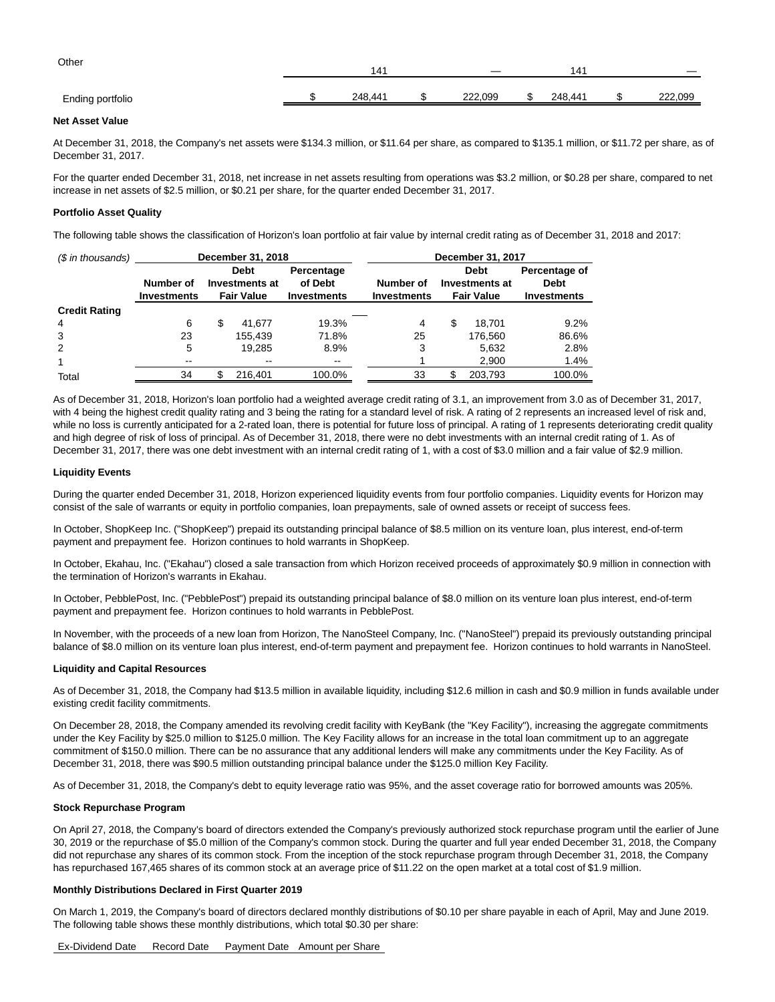| Other            | 141     | _       | 141     |         |
|------------------|---------|---------|---------|---------|
| Ending portfolio | 248.441 | 222.099 | 248.441 | 222,099 |

#### **Net Asset Value**

At December 31, 2018, the Company's net assets were \$134.3 million, or \$11.64 per share, as compared to \$135.1 million, or \$11.72 per share, as of December 31, 2017.

For the quarter ended December 31, 2018, net increase in net assets resulting from operations was \$3.2 million, or \$0.28 per share, compared to net increase in net assets of \$2.5 million, or \$0.21 per share, for the quarter ended December 31, 2017.

#### **Portfolio Asset Quality**

The following table shows the classification of Horizon's loan portfolio at fair value by internal credit rating as of December 31, 2018 and 2017:

| (\$ in thousands)    | December 31, 2018               |                                                    |                          |                                                                                | December 31, 2017 |                                                    |         |                                                    |  |  |  |  |
|----------------------|---------------------------------|----------------------------------------------------|--------------------------|--------------------------------------------------------------------------------|-------------------|----------------------------------------------------|---------|----------------------------------------------------|--|--|--|--|
|                      | Number of<br><b>Investments</b> | <b>Debt</b><br>Investments at<br><b>Fair Value</b> |                          | Percentage<br>of Debt<br>Number of<br><b>Investments</b><br><b>Investments</b> |                   | <b>Debt</b><br>Investments at<br><b>Fair Value</b> |         | Percentage of<br><b>Debt</b><br><b>Investments</b> |  |  |  |  |
| <b>Credit Rating</b> |                                 |                                                    |                          |                                                                                |                   |                                                    |         |                                                    |  |  |  |  |
| 4                    | 6                               | \$                                                 | 41.677                   | 19.3%                                                                          | 4                 | S                                                  | 18.701  | 9.2%                                               |  |  |  |  |
| 3                    | 23                              |                                                    | 155.439                  | 71.8%                                                                          | 25                |                                                    | 176.560 | 86.6%                                              |  |  |  |  |
| 2                    | 5                               |                                                    | 19.285                   | 8.9%                                                                           | 3                 |                                                    | 5,632   | 2.8%                                               |  |  |  |  |
| 1                    | $\overline{\phantom{m}}$        |                                                    | $\overline{\phantom{a}}$ | $\sim$ $\sim$                                                                  |                   |                                                    | 2,900   | 1.4%                                               |  |  |  |  |
| Total                | 34                              |                                                    | 216.401                  | 100.0%                                                                         | 33                |                                                    | 203,793 | 100.0%                                             |  |  |  |  |

As of December 31, 2018, Horizon's loan portfolio had a weighted average credit rating of 3.1, an improvement from 3.0 as of December 31, 2017, with 4 being the highest credit quality rating and 3 being the rating for a standard level of risk. A rating of 2 represents an increased level of risk and, while no loss is currently anticipated for a 2-rated loan, there is potential for future loss of principal. A rating of 1 represents deteriorating credit quality and high degree of risk of loss of principal. As of December 31, 2018, there were no debt investments with an internal credit rating of 1. As of December 31, 2017, there was one debt investment with an internal credit rating of 1, with a cost of \$3.0 million and a fair value of \$2.9 million.

#### **Liquidity Events**

During the quarter ended December 31, 2018, Horizon experienced liquidity events from four portfolio companies. Liquidity events for Horizon may consist of the sale of warrants or equity in portfolio companies, loan prepayments, sale of owned assets or receipt of success fees.

In October, ShopKeep Inc. ("ShopKeep") prepaid its outstanding principal balance of \$8.5 million on its venture loan, plus interest, end-of-term payment and prepayment fee. Horizon continues to hold warrants in ShopKeep.

In October, Ekahau, Inc. ("Ekahau") closed a sale transaction from which Horizon received proceeds of approximately \$0.9 million in connection with the termination of Horizon's warrants in Ekahau.

In October, PebblePost, Inc. ("PebblePost") prepaid its outstanding principal balance of \$8.0 million on its venture loan plus interest, end-of-term payment and prepayment fee. Horizon continues to hold warrants in PebblePost.

In November, with the proceeds of a new loan from Horizon, The NanoSteel Company, Inc. ("NanoSteel") prepaid its previously outstanding principal balance of \$8.0 million on its venture loan plus interest, end-of-term payment and prepayment fee. Horizon continues to hold warrants in NanoSteel.

#### **Liquidity and Capital Resources**

As of December 31, 2018, the Company had \$13.5 million in available liquidity, including \$12.6 million in cash and \$0.9 million in funds available under existing credit facility commitments.

On December 28, 2018, the Company amended its revolving credit facility with KeyBank (the "Key Facility"), increasing the aggregate commitments under the Key Facility by \$25.0 million to \$125.0 million. The Key Facility allows for an increase in the total loan commitment up to an aggregate commitment of \$150.0 million. There can be no assurance that any additional lenders will make any commitments under the Key Facility. As of December 31, 2018, there was \$90.5 million outstanding principal balance under the \$125.0 million Key Facility.

As of December 31, 2018, the Company's debt to equity leverage ratio was 95%, and the asset coverage ratio for borrowed amounts was 205%.

#### **Stock Repurchase Program**

On April 27, 2018, the Company's board of directors extended the Company's previously authorized stock repurchase program until the earlier of June 30, 2019 or the repurchase of \$5.0 million of the Company's common stock. During the quarter and full year ended December 31, 2018, the Company did not repurchase any shares of its common stock. From the inception of the stock repurchase program through December 31, 2018, the Company has repurchased 167,465 shares of its common stock at an average price of \$11.22 on the open market at a total cost of \$1.9 million.

#### **Monthly Distributions Declared in First Quarter 2019**

On March 1, 2019, the Company's board of directors declared monthly distributions of \$0.10 per share payable in each of April, May and June 2019. The following table shows these monthly distributions, which total \$0.30 per share:

Ex-Dividend Date Record Date Payment Date Amount per Share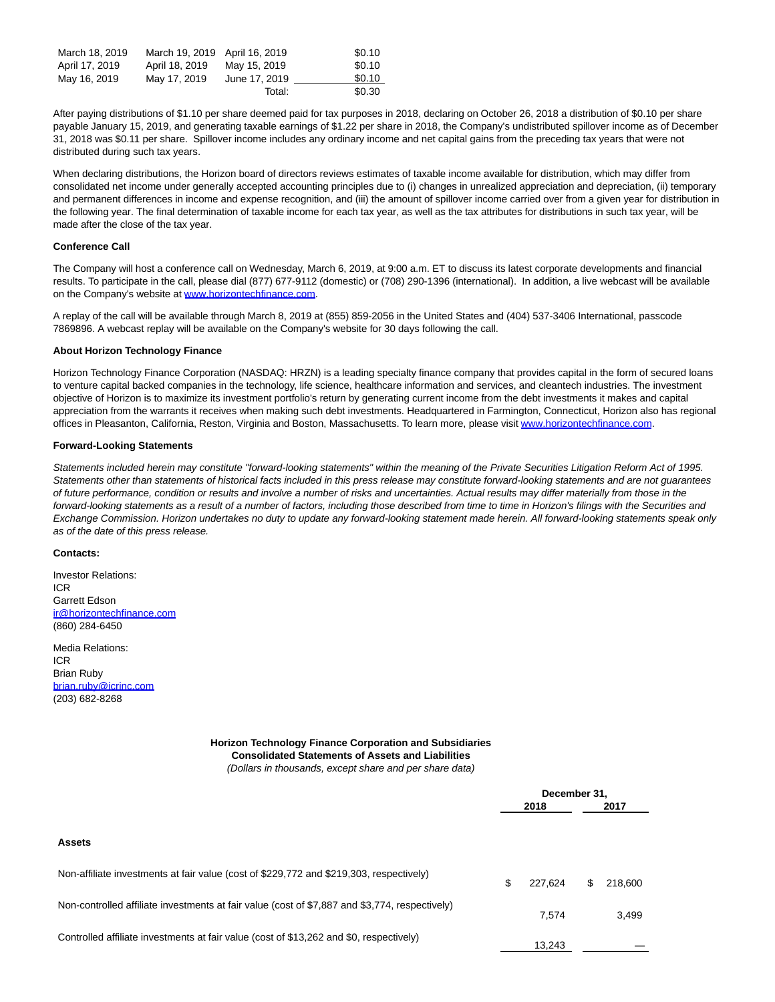| March 18, 2019 | March 19, 2019 April 16, 2019 |               | \$0.10 |
|----------------|-------------------------------|---------------|--------|
|                |                               |               |        |
| April 17, 2019 | April 18, 2019                | May 15, 2019  | \$0.10 |
| May 16, 2019   | May 17, 2019                  | June 17, 2019 | \$0.10 |
|                |                               | Total:        | \$0.30 |

After paying distributions of \$1.10 per share deemed paid for tax purposes in 2018, declaring on October 26, 2018 a distribution of \$0.10 per share payable January 15, 2019, and generating taxable earnings of \$1.22 per share in 2018, the Company's undistributed spillover income as of December 31, 2018 was \$0.11 per share. Spillover income includes any ordinary income and net capital gains from the preceding tax years that were not distributed during such tax years.

When declaring distributions, the Horizon board of directors reviews estimates of taxable income available for distribution, which may differ from consolidated net income under generally accepted accounting principles due to (i) changes in unrealized appreciation and depreciation, (ii) temporary and permanent differences in income and expense recognition, and (iii) the amount of spillover income carried over from a given year for distribution in the following year. The final determination of taxable income for each tax year, as well as the tax attributes for distributions in such tax year, will be made after the close of the tax year.

#### **Conference Call**

The Company will host a conference call on Wednesday, March 6, 2019, at 9:00 a.m. ET to discuss its latest corporate developments and financial results. To participate in the call, please dial (877) 677-9112 (domestic) or (708) 290-1396 (international). In addition, a live webcast will be available on the Company's website at [www.horizontechfinance.com.](https://c212.net/c/link/?t=0&l=en&o=2394305-1&h=455180607&u=http%3A%2F%2Fwww.horizontechfinance.com%2F&a=www.horizontechfinance.com) 

A replay of the call will be available through March 8, 2019 at (855) 859-2056 in the United States and (404) 537-3406 International, passcode 7869896. A webcast replay will be available on the Company's website for 30 days following the call.

#### **About Horizon Technology Finance**

Horizon Technology Finance Corporation (NASDAQ: HRZN) is a leading specialty finance company that provides capital in the form of secured loans to venture capital backed companies in the technology, life science, healthcare information and services, and cleantech industries. The investment objective of Horizon is to maximize its investment portfolio's return by generating current income from the debt investments it makes and capital appreciation from the warrants it receives when making such debt investments. Headquartered in Farmington, Connecticut, Horizon also has regional offices in Pleasanton, California, Reston, Virginia and Boston, Massachusetts. To learn more, please visit [www.horizontechfinance.com.](https://c212.net/c/link/?t=0&l=en&o=2394305-1&h=455180607&u=http%3A%2F%2Fwww.horizontechfinance.com%2F&a=www.horizontechfinance.com)

#### **Forward-Looking Statements**

Statements included herein may constitute "forward-looking statements" within the meaning of the Private Securities Litigation Reform Act of 1995. Statements other than statements of historical facts included in this press release may constitute forward-looking statements and are not guarantees of future performance, condition or results and involve a number of risks and uncertainties. Actual results may differ materially from those in the forward-looking statements as a result of a number of factors, including those described from time to time in Horizon's filings with the Securities and Exchange Commission. Horizon undertakes no duty to update any forward-looking statement made herein. All forward-looking statements speak only as of the date of this press release.

#### **Contacts:**

Investor Relations: ICR Garrett Edson [ir@horizontechfinance.com](mailto:ir@horizontechfinance.com) (860) 284-6450

Media Relations: ICR Brian Ruby [brian.ruby@icrinc.com](mailto:brian.ruby@icrinc.com) (203) 682-8268

## **Horizon Technology Finance Corporation and Subsidiaries Consolidated Statements of Assets and Liabilities**

(Dollars in thousands, except share and per share data)

|                                                                                                | December 31.  |    |         |  |
|------------------------------------------------------------------------------------------------|---------------|----|---------|--|
|                                                                                                | 2018          |    | 2017    |  |
|                                                                                                |               |    |         |  |
| <b>Assets</b>                                                                                  |               |    |         |  |
| Non-affiliate investments at fair value (cost of \$229,772 and \$219,303, respectively)        | \$<br>227.624 | \$ | 218,600 |  |
| Non-controlled affiliate investments at fair value (cost of \$7,887 and \$3,774, respectively) | 7.574         |    | 3,499   |  |
| Controlled affiliate investments at fair value (cost of \$13,262 and \$0, respectively)        | 13.243        |    |         |  |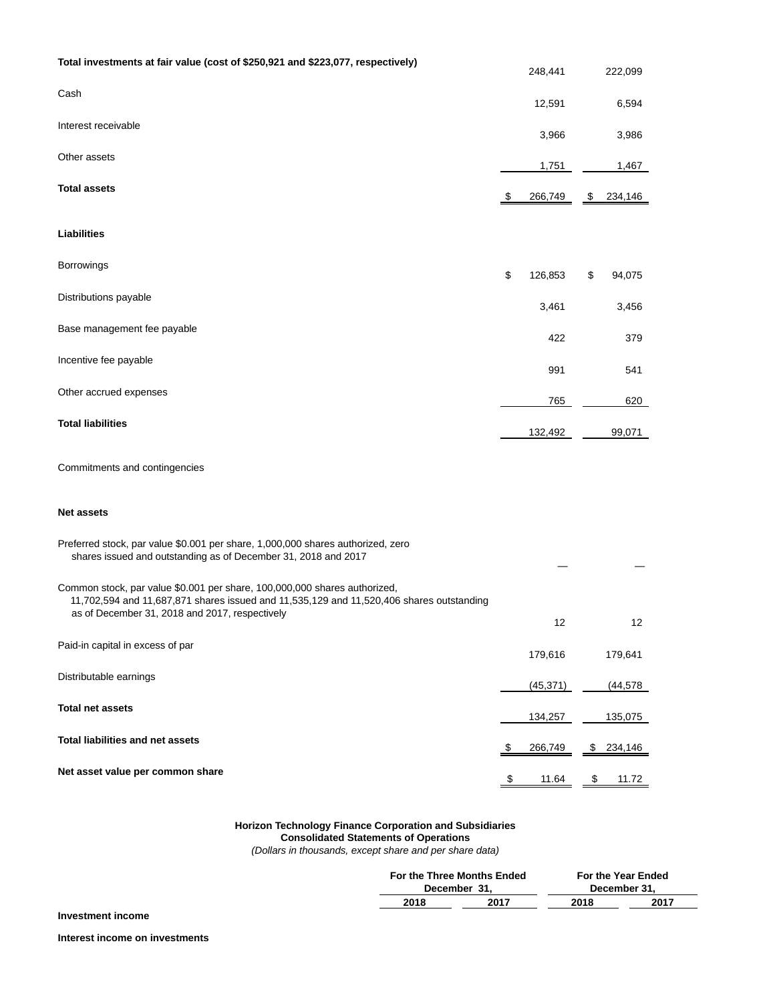| Total investments at fair value (cost of \$250,921 and \$223,077, respectively)                                                                                                                                         | 248,441       | 222,099       |
|-------------------------------------------------------------------------------------------------------------------------------------------------------------------------------------------------------------------------|---------------|---------------|
| Cash                                                                                                                                                                                                                    | 12,591        | 6,594         |
| Interest receivable                                                                                                                                                                                                     | 3,966         | 3,986         |
| Other assets                                                                                                                                                                                                            | 1,751         | 1,467         |
| <b>Total assets</b>                                                                                                                                                                                                     | \$<br>266,749 | \$<br>234,146 |
| <b>Liabilities</b>                                                                                                                                                                                                      |               |               |
| <b>Borrowings</b>                                                                                                                                                                                                       | \$<br>126,853 | \$<br>94,075  |
| Distributions payable                                                                                                                                                                                                   | 3,461         | 3,456         |
| Base management fee payable                                                                                                                                                                                             | 422           | 379           |
| Incentive fee payable                                                                                                                                                                                                   | 991           | 541           |
| Other accrued expenses                                                                                                                                                                                                  | 765           | 620           |
| <b>Total liabilities</b>                                                                                                                                                                                                | 132,492       | 99,071        |
| Commitments and contingencies                                                                                                                                                                                           |               |               |
| <b>Net assets</b>                                                                                                                                                                                                       |               |               |
| Preferred stock, par value \$0.001 per share, 1,000,000 shares authorized, zero<br>shares issued and outstanding as of December 31, 2018 and 2017                                                                       |               |               |
| Common stock, par value \$0.001 per share, 100,000,000 shares authorized,<br>11,702,594 and 11,687,871 shares issued and 11,535,129 and 11,520,406 shares outstanding<br>as of December 31, 2018 and 2017, respectively |               |               |
| Paid-in capital in excess of par                                                                                                                                                                                        | 12<br>179,616 | 12<br>179,641 |
| Distributable earnings                                                                                                                                                                                                  | (45, 371)     | (44, 578)     |
| <b>Total net assets</b>                                                                                                                                                                                                 | 134,257       | 135,075       |
| <b>Total liabilities and net assets</b>                                                                                                                                                                                 | \$<br>266,749 | \$<br>234,146 |
| Net asset value per common share                                                                                                                                                                                        | 11.64         | \$<br>11.72   |

## **Horizon Technology Finance Corporation and Subsidiaries**

#### **Consolidated Statements of Operations**

(Dollars in thousands, except share and per share data)

|      | For the Three Months Ended<br>December 31. | For the Year Ended<br>December 31. |      |  |
|------|--------------------------------------------|------------------------------------|------|--|
| 2018 | 2017                                       | 2018                               | 2017 |  |
|      |                                            |                                    |      |  |

**Interest income on investments**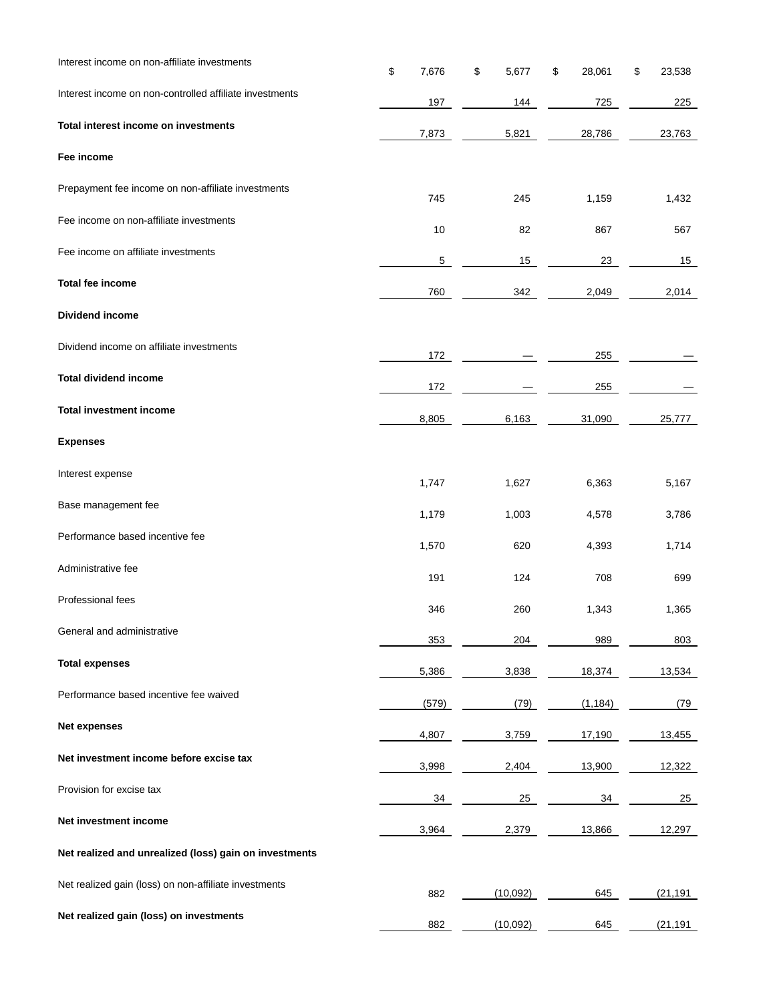| Interest income on non-affiliate investments            | \$<br>7,676    | \$<br>5,677 | \$<br>28,061    | 23,538<br>\$ |
|---------------------------------------------------------|----------------|-------------|-----------------|--------------|
| Interest income on non-controlled affiliate investments | 197            | 144         | 725             | 225          |
| Total interest income on investments                    | 7,873          | 5,821       | 28,786          | 23,763       |
| Fee income                                              |                |             |                 |              |
| Prepayment fee income on non-affiliate investments      | 745            | 245         | 1,159           | 1,432        |
| Fee income on non-affiliate investments                 | 10             | 82          | 867             | 567          |
| Fee income on affiliate investments                     | $\overline{5}$ | 15          | 23              | 15           |
| <b>Total fee income</b>                                 | 760            | 342         | 2,049           | 2,014        |
| Dividend income                                         |                |             |                 |              |
| Dividend income on affiliate investments                | 172            |             | 255             |              |
| <b>Total dividend income</b>                            | 172            |             | 255             |              |
| <b>Total investment income</b>                          | 8,805          | 6,163       | 31,090          | 25,777       |
| <b>Expenses</b>                                         |                |             |                 |              |
| Interest expense                                        | 1,747          | 1,627       | 6,363           | 5,167        |
| Base management fee                                     | 1,179          | 1,003       | 4,578           | 3,786        |
| Performance based incentive fee                         | 1,570          | 620         | 4,393           | 1,714        |
| Administrative fee                                      | 191            | 124         | 708             | 699          |
| Professional fees                                       | 346            | 260         | 1,343           | 1,365        |
| General and administrative                              | 353            | 204         | 989             | 803          |
| <b>Total expenses</b>                                   | 5,386          | 3,838       | 18,374          | 13,534       |
| Performance based incentive fee waived                  | (579)          | (79)        | (1, 184)        | (79          |
| <b>Net expenses</b>                                     | 4,807          | 3,759       | 17,190          | 13,455       |
| Net investment income before excise tax                 | 3,998          | 2,404       | 13,900          | 12,322       |
| Provision for excise tax                                | 34             | 25          | $\overline{34}$ | 25           |
| Net investment income                                   | 3,964          | 2,379       | 13,866          | 12,297       |
| Net realized and unrealized (loss) gain on investments  |                |             |                 |              |
| Net realized gain (loss) on non-affiliate investments   | 882            | (10,092)    | 645             | (21, 191)    |
| Net realized gain (loss) on investments                 | 882            | (10,092)    | 645             | (21, 191)    |